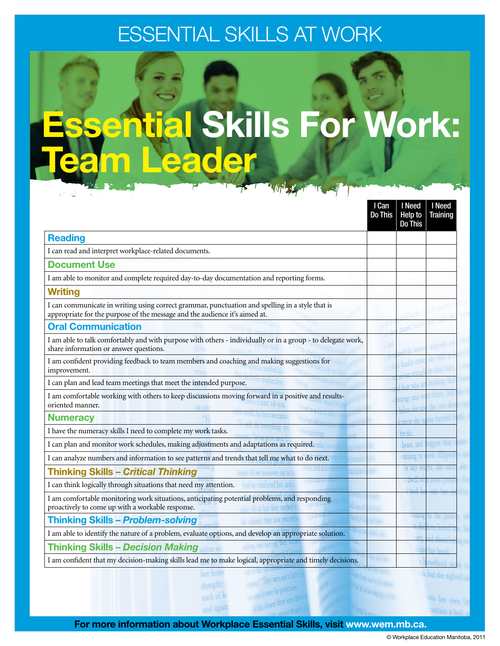## Essential Skills at WORK

# **Ential Skills For Work:** Team Leader

|                                                                                                                                                                               | I Can<br>Do This | I Need<br>Help to<br><b>Do This</b> | I Need<br><b>Training</b> |
|-------------------------------------------------------------------------------------------------------------------------------------------------------------------------------|------------------|-------------------------------------|---------------------------|
| <b>Reading</b>                                                                                                                                                                |                  |                                     |                           |
| I can read and interpret workplace-related documents.                                                                                                                         |                  |                                     |                           |
| <b>Document Use</b>                                                                                                                                                           |                  |                                     |                           |
| I am able to monitor and complete required day-to-day documentation and reporting forms.                                                                                      |                  |                                     |                           |
| <b>Writing</b>                                                                                                                                                                |                  |                                     |                           |
| I can communicate in writing using correct grammar, punctuation and spelling in a style that is<br>appropriate for the purpose of the message and the audience it's aimed at. |                  |                                     |                           |
| <b>Oral Communication</b>                                                                                                                                                     |                  |                                     |                           |
| I am able to talk comfortably and with purpose with others - individually or in a group - to delegate work,<br>share information or answer questions.                         |                  |                                     |                           |
| I am confident providing feedback to team members and coaching and making suggestions for<br>improvement.                                                                     |                  |                                     |                           |
| I can plan and lead team meetings that meet the intended purpose.                                                                                                             |                  |                                     |                           |
| I am comfortable working with others to keep discussions moving forward in a positive and results-<br>oriented manner.                                                        |                  |                                     |                           |
| <b>Numeracy</b>                                                                                                                                                               |                  | terror sild                         |                           |
| I have the numeracy skills I need to complete my work tasks.                                                                                                                  |                  | her sin.                            |                           |
| I can plan and monitor work schedules, making adjustments and adaptations as required.                                                                                        |                  | house, an                           |                           |
| I can analyze numbers and information to see patterns and trends that tell me what to do next.                                                                                |                  | <b>omising</b>                      |                           |
| <b>Thinking Skills - Critical Thinking</b><br>way, out in th                                                                                                                  |                  |                                     |                           |
| I can think logically through situations that need my attention.                                                                                                              |                  |                                     |                           |
| I am comfortable monitoring work situations, anticipating potential problems, and responding<br>proactively to come up with a workable response.                              |                  |                                     |                           |
| <b>Thinking Skills - Problem-solving</b>                                                                                                                                      |                  |                                     |                           |
| I am able to identify the nature of a problem, evaluate options, and develop an appropriate solution.                                                                         |                  |                                     |                           |
| <b>Thinking Skills - Decision Making</b>                                                                                                                                      |                  |                                     |                           |
| I am confident that my decision-making skills lead me to make logical, appropriate and timely decisions.                                                                      |                  |                                     |                           |

For more information about Workplace Essential Skills, visit www.wem.mb.ca.

hearht; each of h